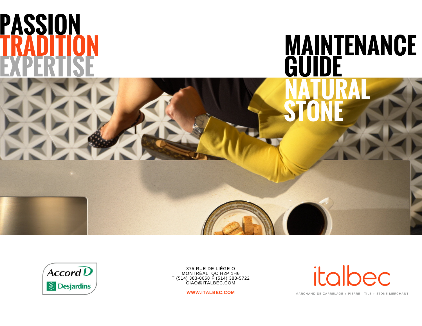



375 RUE DE LIÈGE O MONTRÉAL, QC H2P 1H6 T (514) 383-0668 F (514) 383-5722 CIAO@ITALBEC.COM

**WWW.ITALBEC.COM**

italbec

MARCHAND DE CARRELAGE + PIERRE | TILE + STONE MERCHANT